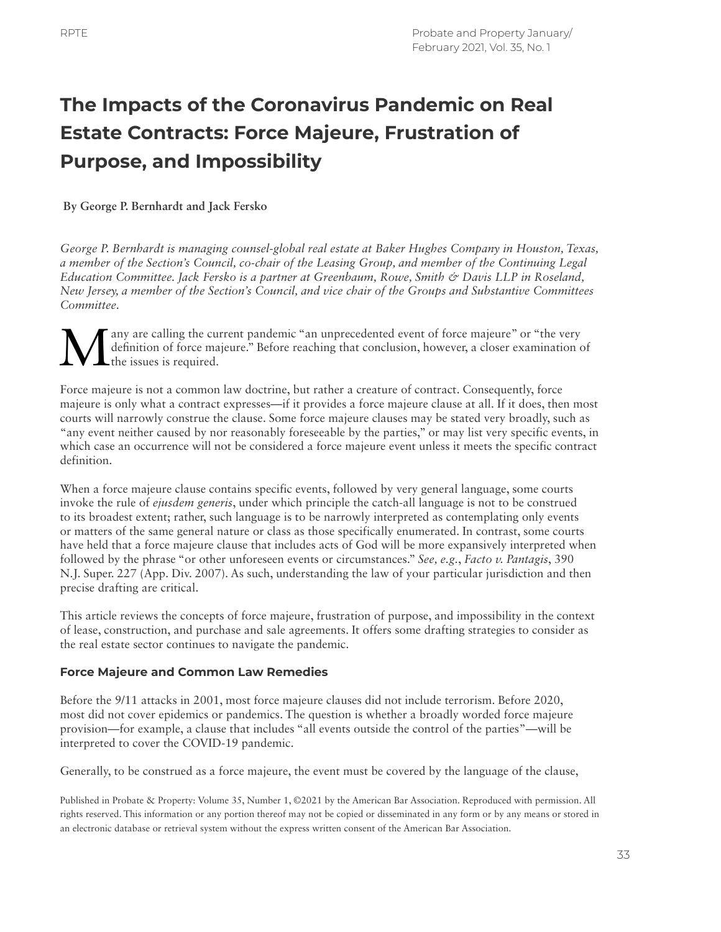# **The Impacts of the Coronavirus Pandemic on Real Estate Contracts: Force Majeure, Frustration of Purpose, and Impossibility**

# **By George P. Bernhardt and Jack Fersko**

*George P. Bernhardt is managing counsel-global real estate at Baker Hughes Company in Houston, Texas, a member of the Section's Council, co-chair of the Leasing Group, and member of the Continuing Legal Education Committee. Jack Fersko is a partner at Greenbaum, Rowe, Smith & Davis LLP in Roseland, New Jersey, a member of the Section's Council, and vice chair of the Groups and Substantive Committees Committee.*

Many are calling the current pandemic "an unprecedented event of force majeure" or "the very definition of force majeure." Before reaching that conclusion, however, a closer examination of the issues is required. definition of force majeure." Before reaching that conclusion, however, a closer examination of the issues is required.

Force majeure is not a common law doctrine, but rather a creature of contract. Consequently, force majeure is only what a contract expresses—if it provides a force majeure clause at all. If it does, then most courts will narrowly construe the clause. Some force majeure clauses may be stated very broadly, such as "any event neither caused by nor reasonably foreseeable by the parties," or may list very specific events, in which case an occurrence will not be considered a force majeure event unless it meets the specific contract definition.

When a force majeure clause contains specific events, followed by very general language, some courts invoke the rule of *ejusdem generis*, under which principle the catch-all language is not to be construed to its broadest extent; rather, such language is to be narrowly interpreted as contemplating only events or matters of the same general nature or class as those specifically enumerated. In contrast, some courts have held that a force majeure clause that includes acts of God will be more expansively interpreted when followed by the phrase "or other unforeseen events or circumstances." *See, e.g.*, *Facto v. Pantagis*, 390 N.J. Super. 227 (App. Div. 2007). As such, understanding the law of your particular jurisdiction and then precise drafting are critical.

This article reviews the concepts of force majeure, frustration of purpose, and impossibility in the context of lease, construction, and purchase and sale agreements. It offers some drafting strategies to consider as the real estate sector continues to navigate the pandemic.

## **Force Majeure and Common Law Remedies**

Before the 9/11 attacks in 2001, most force majeure clauses did not include terrorism. Before 2020, most did not cover epidemics or pandemics. The question is whether a broadly worded force majeure provision—for example, a clause that includes "all events outside the control of the parties"—will be interpreted to cover the COVID-19 pandemic.

Generally, to be construed as a force majeure, the event must be covered by the language of the clause,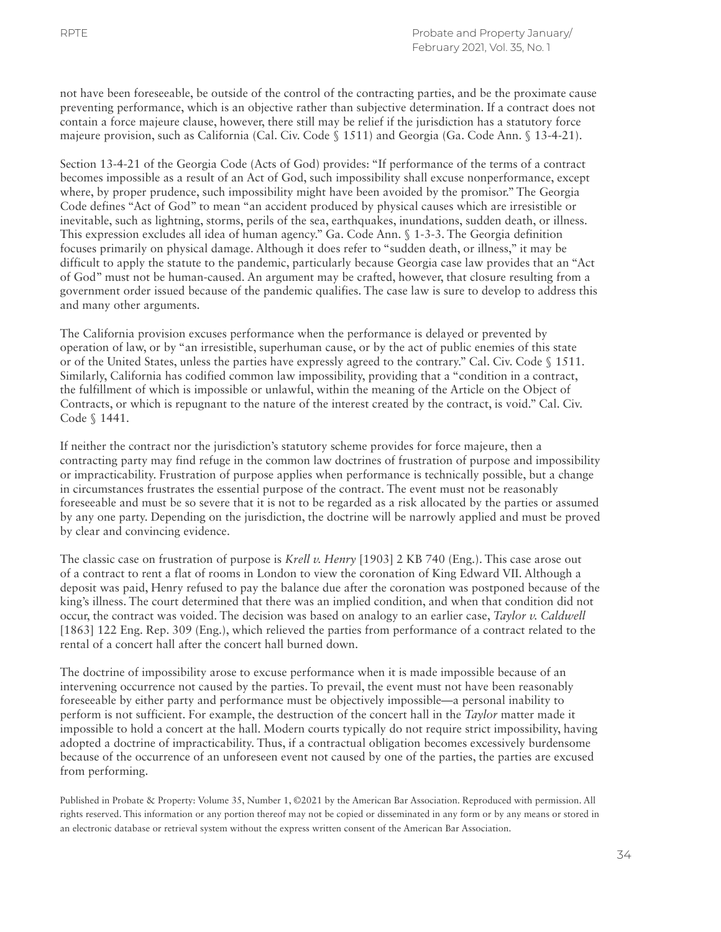not have been foreseeable, be outside of the control of the contracting parties, and be the proximate cause preventing performance, which is an objective rather than subjective determination. If a contract does not contain a force majeure clause, however, there still may be relief if the jurisdiction has a statutory force majeure provision, such as California (Cal. Civ. Code § 1511) and Georgia (Ga. Code Ann. § 13-4-21).

Section 13-4-21 of the Georgia Code (Acts of God) provides: "If performance of the terms of a contract becomes impossible as a result of an Act of God, such impossibility shall excuse nonperformance, except where, by proper prudence, such impossibility might have been avoided by the promisor." The Georgia Code defines "Act of God" to mean "an accident produced by physical causes which are irresistible or inevitable, such as lightning, storms, perils of the sea, earthquakes, inundations, sudden death, or illness. This expression excludes all idea of human agency." Ga. Code Ann. § 1-3-3. The Georgia definition focuses primarily on physical damage. Although it does refer to "sudden death, or illness," it may be difficult to apply the statute to the pandemic, particularly because Georgia case law provides that an "Act of God" must not be human-caused. An argument may be crafted, however, that closure resulting from a government order issued because of the pandemic qualifies. The case law is sure to develop to address this and many other arguments.

The California provision excuses performance when the performance is delayed or prevented by operation of law, or by "an irresistible, superhuman cause, or by the act of public enemies of this state or of the United States, unless the parties have expressly agreed to the contrary." Cal. Civ. Code § 1511. Similarly, California has codified common law impossibility, providing that a "condition in a contract, the fulfillment of which is impossible or unlawful, within the meaning of the Article on the Object of Contracts, or which is repugnant to the nature of the interest created by the contract, is void." Cal. Civ. Code § 1441.

If neither the contract nor the jurisdiction's statutory scheme provides for force majeure, then a contracting party may find refuge in the common law doctrines of frustration of purpose and impossibility or impracticability. Frustration of purpose applies when performance is technically possible, but a change in circumstances frustrates the essential purpose of the contract. The event must not be reasonably foreseeable and must be so severe that it is not to be regarded as a risk allocated by the parties or assumed by any one party. Depending on the jurisdiction, the doctrine will be narrowly applied and must be proved by clear and convincing evidence.

The classic case on frustration of purpose is *Krell v. Henry* [1903] 2 KB 740 (Eng.). This case arose out of a contract to rent a flat of rooms in London to view the coronation of King Edward VII. Although a deposit was paid, Henry refused to pay the balance due after the coronation was postponed because of the king's illness. The court determined that there was an implied condition, and when that condition did not occur, the contract was voided. The decision was based on analogy to an earlier case, *Taylor v. Caldwell* [1863] 122 Eng. Rep. 309 (Eng.), which relieved the parties from performance of a contract related to the rental of a concert hall after the concert hall burned down.

The doctrine of impossibility arose to excuse performance when it is made impossible because of an intervening occurrence not caused by the parties. To prevail, the event must not have been reasonably foreseeable by either party and performance must be objectively impossible—a personal inability to perform is not sufficient. For example, the destruction of the concert hall in the *Taylor* matter made it impossible to hold a concert at the hall. Modern courts typically do not require strict impossibility, having adopted a doctrine of impracticability. Thus, if a contractual obligation becomes excessively burdensome because of the occurrence of an unforeseen event not caused by one of the parties, the parties are excused from performing.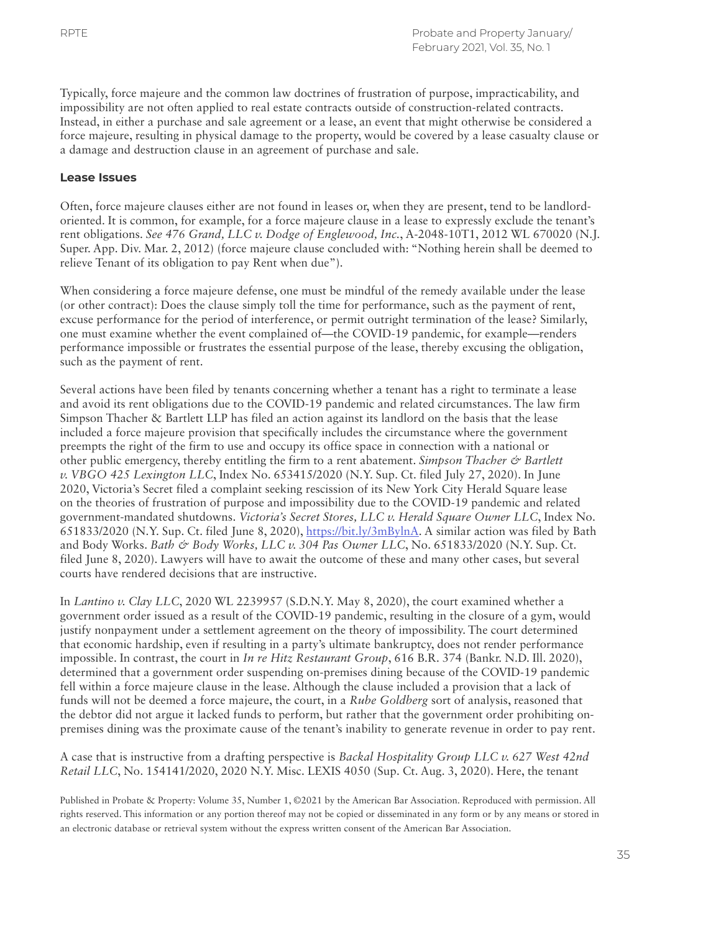Typically, force majeure and the common law doctrines of frustration of purpose, impracticability, and impossibility are not often applied to real estate contracts outside of construction-related contracts. Instead, in either a purchase and sale agreement or a lease, an event that might otherwise be considered a force majeure, resulting in physical damage to the property, would be covered by a lease casualty clause or a damage and destruction clause in an agreement of purchase and sale.

## **Lease Issues**

Often, force majeure clauses either are not found in leases or, when they are present, tend to be landlordoriented. It is common, for example, for a force majeure clause in a lease to expressly exclude the tenant's rent obligations. *See 476 Grand, LLC v. Dodge of Englewood, Inc.*, A-2048-10T1, 2012 WL 670020 (N.J. Super. App. Div. Mar. 2, 2012) (force majeure clause concluded with: "Nothing herein shall be deemed to relieve Tenant of its obligation to pay Rent when due").

When considering a force majeure defense, one must be mindful of the remedy available under the lease (or other contract): Does the clause simply toll the time for performance, such as the payment of rent, excuse performance for the period of interference, or permit outright termination of the lease? Similarly, one must examine whether the event complained of—the COVID-19 pandemic, for example—renders performance impossible or frustrates the essential purpose of the lease, thereby excusing the obligation, such as the payment of rent.

Several actions have been filed by tenants concerning whether a tenant has a right to terminate a lease and avoid its rent obligations due to the COVID-19 pandemic and related circumstances. The law firm Simpson Thacher & Bartlett LLP has filed an action against its landlord on the basis that the lease included a force majeure provision that specifically includes the circumstance where the government preempts the right of the firm to use and occupy its office space in connection with a national or other public emergency, thereby entitling the firm to a rent abatement. *Simpson Thacher & Bartlett v. VBGO 425 Lexington LLC*, Index No. 653415/2020 (N.Y. Sup. Ct. filed July 27, 2020). In June 2020, Victoria's Secret filed a complaint seeking rescission of its New York City Herald Square lease on the theories of frustration of purpose and impossibility due to the COVID-19 pandemic and related government-mandated shutdowns. *Victoria's Secret Stores, LLC v. Herald Square Owner LLC*, Index No. 651833/2020 (N.Y. Sup. Ct. filed June 8, 2020), [https://bit.ly/3mBylnA.](https://bit.ly/3mBylnA) A similar action was filed by Bath and Body Works. *Bath & Body Works, LLC v. 304 Pas Owner LLC*, No. 651833/2020 (N.Y. Sup. Ct. filed June 8, 2020). Lawyers will have to await the outcome of these and many other cases, but several courts have rendered decisions that are instructive.

In *Lantino v. Clay LLC*, 2020 WL 2239957 (S.D.N.Y. May 8, 2020), the court examined whether a government order issued as a result of the COVID-19 pandemic, resulting in the closure of a gym, would justify nonpayment under a settlement agreement on the theory of impossibility. The court determined that economic hardship, even if resulting in a party's ultimate bankruptcy, does not render performance impossible. In contrast, the court in *In re Hitz Restaurant Group*, 616 B.R. 374 (Bankr. N.D. Ill. 2020), determined that a government order suspending on-premises dining because of the COVID-19 pandemic fell within a force majeure clause in the lease. Although the clause included a provision that a lack of funds will not be deemed a force majeure, the court, in a *Rube Goldberg* sort of analysis, reasoned that the debtor did not argue it lacked funds to perform, but rather that the government order prohibiting onpremises dining was the proximate cause of the tenant's inability to generate revenue in order to pay rent.

A case that is instructive from a drafting perspective is *Backal Hospitality Group LLC v. 627 West 42nd Retail LLC*, No. 154141/2020, 2020 N.Y. Misc. LEXIS 4050 (Sup. Ct. Aug. 3, 2020). Here, the tenant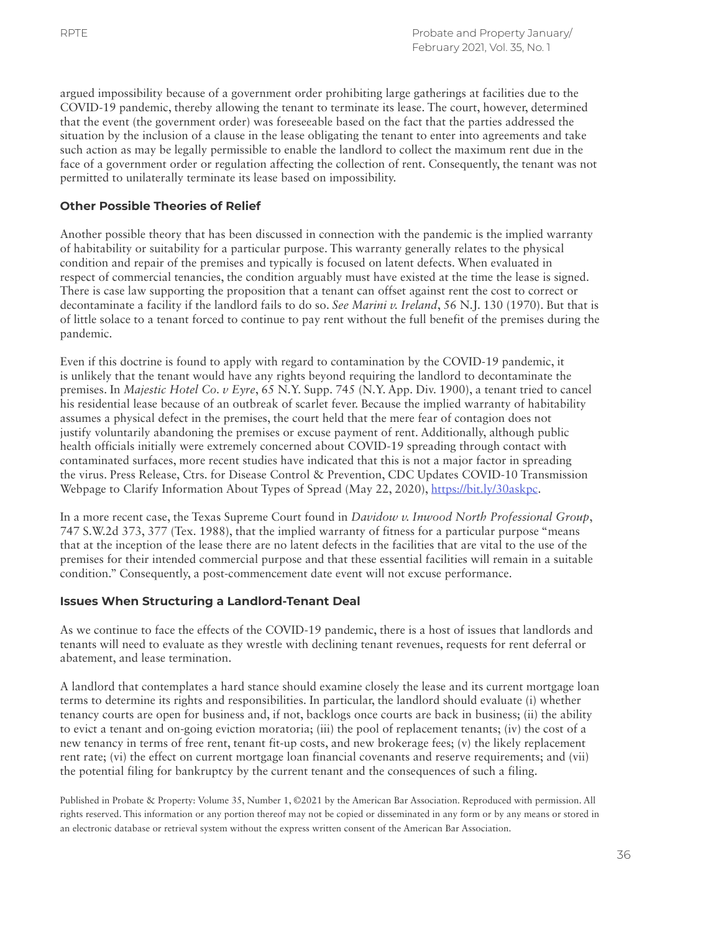argued impossibility because of a government order prohibiting large gatherings at facilities due to the COVID-19 pandemic, thereby allowing the tenant to terminate its lease. The court, however, determined that the event (the government order) was foreseeable based on the fact that the parties addressed the situation by the inclusion of a clause in the lease obligating the tenant to enter into agreements and take such action as may be legally permissible to enable the landlord to collect the maximum rent due in the face of a government order or regulation affecting the collection of rent. Consequently, the tenant was not permitted to unilaterally terminate its lease based on impossibility.

# **Other Possible Theories of Relief**

Another possible theory that has been discussed in connection with the pandemic is the implied warranty of habitability or suitability for a particular purpose. This warranty generally relates to the physical condition and repair of the premises and typically is focused on latent defects. When evaluated in respect of commercial tenancies, the condition arguably must have existed at the time the lease is signed. There is case law supporting the proposition that a tenant can offset against rent the cost to correct or decontaminate a facility if the landlord fails to do so. *See Marini v. Ireland*, 56 N.J. 130 (1970). But that is of little solace to a tenant forced to continue to pay rent without the full benefit of the premises during the pandemic.

Even if this doctrine is found to apply with regard to contamination by the COVID-19 pandemic, it is unlikely that the tenant would have any rights beyond requiring the landlord to decontaminate the premises. In *Majestic Hotel Co. v Eyre*, 65 N.Y. Supp. 745 (N.Y. App. Div. 1900), a tenant tried to cancel his residential lease because of an outbreak of scarlet fever. Because the implied warranty of habitability assumes a physical defect in the premises, the court held that the mere fear of contagion does not justify voluntarily abandoning the premises or excuse payment of rent. Additionally, although public health officials initially were extremely concerned about COVID-19 spreading through contact with contaminated surfaces, more recent studies have indicated that this is not a major factor in spreading the virus. Press Release, Ctrs. for Disease Control & Prevention, CDC Updates COVID-10 Transmission Webpage to Clarify Information About Types of Spread (May 22, 2020), [https://bit.ly/30askpc.](https://bit.ly/30askpc)

In a more recent case, the Texas Supreme Court found in *Davidow v. Inwood North Professional Group*, 747 S.W.2d 373, 377 (Tex. 1988), that the implied warranty of fitness for a particular purpose "means that at the inception of the lease there are no latent defects in the facilities that are vital to the use of the premises for their intended commercial purpose and that these essential facilities will remain in a suitable condition." Consequently, a post-commencement date event will not excuse performance.

## **Issues When Structuring a Landlord-Tenant Deal**

As we continue to face the effects of the COVID-19 pandemic, there is a host of issues that landlords and tenants will need to evaluate as they wrestle with declining tenant revenues, requests for rent deferral or abatement, and lease termination.

A landlord that contemplates a hard stance should examine closely the lease and its current mortgage loan terms to determine its rights and responsibilities. In particular, the landlord should evaluate (i) whether tenancy courts are open for business and, if not, backlogs once courts are back in business; (ii) the ability to evict a tenant and on-going eviction moratoria; (iii) the pool of replacement tenants; (iv) the cost of a new tenancy in terms of free rent, tenant fit-up costs, and new brokerage fees; (v) the likely replacement rent rate; (vi) the effect on current mortgage loan financial covenants and reserve requirements; and (vii) the potential filing for bankruptcy by the current tenant and the consequences of such a filing.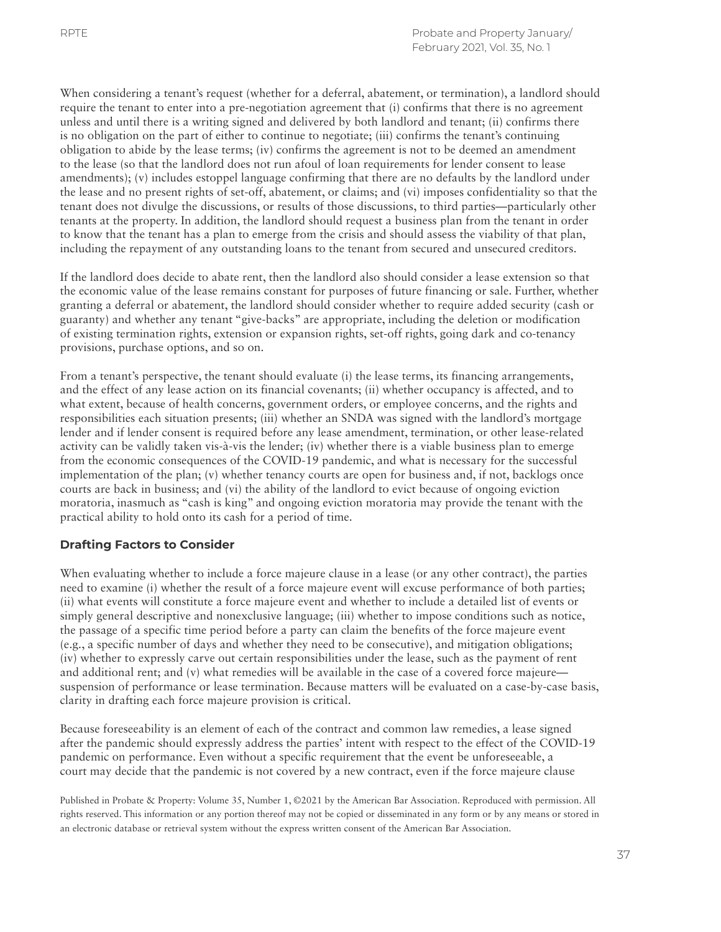When considering a tenant's request (whether for a deferral, abatement, or termination), a landlord should require the tenant to enter into a pre-negotiation agreement that (i) confirms that there is no agreement unless and until there is a writing signed and delivered by both landlord and tenant; (ii) confirms there is no obligation on the part of either to continue to negotiate; (iii) confirms the tenant's continuing obligation to abide by the lease terms; (iv) confirms the agreement is not to be deemed an amendment to the lease (so that the landlord does not run afoul of loan requirements for lender consent to lease amendments); (v) includes estoppel language confirming that there are no defaults by the landlord under the lease and no present rights of set-off, abatement, or claims; and (vi) imposes confidentiality so that the tenant does not divulge the discussions, or results of those discussions, to third parties—particularly other tenants at the property. In addition, the landlord should request a business plan from the tenant in order to know that the tenant has a plan to emerge from the crisis and should assess the viability of that plan, including the repayment of any outstanding loans to the tenant from secured and unsecured creditors.

If the landlord does decide to abate rent, then the landlord also should consider a lease extension so that the economic value of the lease remains constant for purposes of future financing or sale. Further, whether granting a deferral or abatement, the landlord should consider whether to require added security (cash or guaranty) and whether any tenant "give-backs" are appropriate, including the deletion or modification of existing termination rights, extension or expansion rights, set-off rights, going dark and co-tenancy provisions, purchase options, and so on.

From a tenant's perspective, the tenant should evaluate (i) the lease terms, its financing arrangements, and the effect of any lease action on its financial covenants; (ii) whether occupancy is affected, and to what extent, because of health concerns, government orders, or employee concerns, and the rights and responsibilities each situation presents; (iii) whether an SNDA was signed with the landlord's mortgage lender and if lender consent is required before any lease amendment, termination, or other lease-related activity can be validly taken vis-à-vis the lender; (iv) whether there is a viable business plan to emerge from the economic consequences of the COVID-19 pandemic, and what is necessary for the successful implementation of the plan; (v) whether tenancy courts are open for business and, if not, backlogs once courts are back in business; and (vi) the ability of the landlord to evict because of ongoing eviction moratoria, inasmuch as "cash is king" and ongoing eviction moratoria may provide the tenant with the practical ability to hold onto its cash for a period of time.

# **Drafting Factors to Consider**

When evaluating whether to include a force majeure clause in a lease (or any other contract), the parties need to examine (i) whether the result of a force majeure event will excuse performance of both parties; (ii) what events will constitute a force majeure event and whether to include a detailed list of events or simply general descriptive and nonexclusive language; (iii) whether to impose conditions such as notice, the passage of a specific time period before a party can claim the benefits of the force majeure event (e.g., a specific number of days and whether they need to be consecutive), and mitigation obligations; (iv) whether to expressly carve out certain responsibilities under the lease, such as the payment of rent and additional rent; and (v) what remedies will be available in the case of a covered force majeure suspension of performance or lease termination. Because matters will be evaluated on a case-by-case basis, clarity in drafting each force majeure provision is critical.

Because foreseeability is an element of each of the contract and common law remedies, a lease signed after the pandemic should expressly address the parties' intent with respect to the effect of the COVID-19 pandemic on performance. Even without a specific requirement that the event be unforeseeable, a court may decide that the pandemic is not covered by a new contract, even if the force majeure clause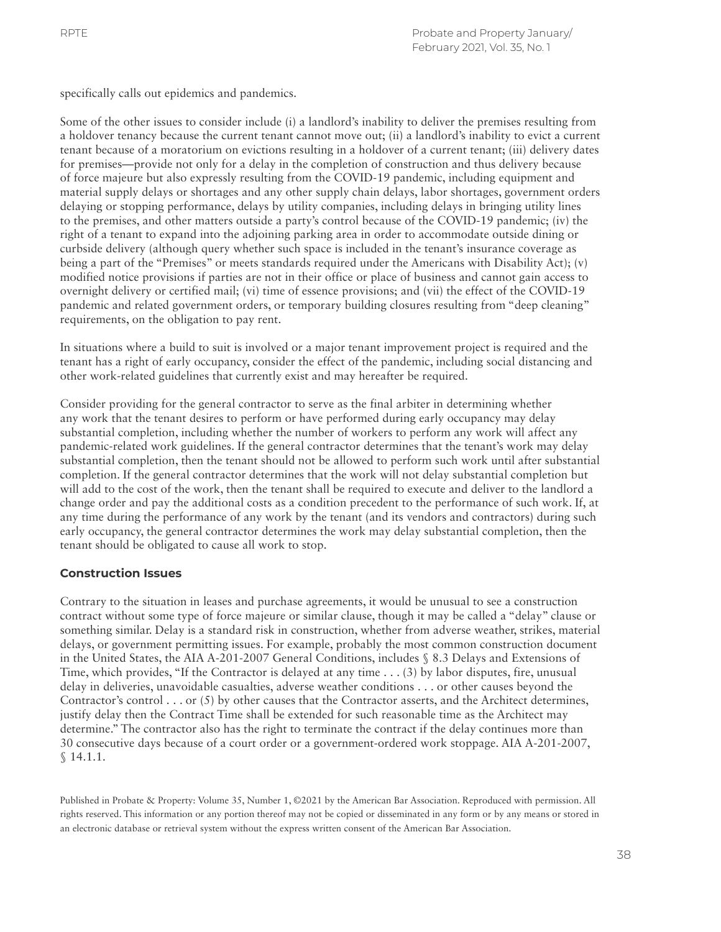specifically calls out epidemics and pandemics.

Some of the other issues to consider include (i) a landlord's inability to deliver the premises resulting from a holdover tenancy because the current tenant cannot move out; (ii) a landlord's inability to evict a current tenant because of a moratorium on evictions resulting in a holdover of a current tenant; (iii) delivery dates for premises—provide not only for a delay in the completion of construction and thus delivery because of force majeure but also expressly resulting from the COVID-19 pandemic, including equipment and material supply delays or shortages and any other supply chain delays, labor shortages, government orders delaying or stopping performance, delays by utility companies, including delays in bringing utility lines to the premises, and other matters outside a party's control because of the COVID-19 pandemic; (iv) the right of a tenant to expand into the adjoining parking area in order to accommodate outside dining or curbside delivery (although query whether such space is included in the tenant's insurance coverage as being a part of the "Premises" or meets standards required under the Americans with Disability Act); (v) modified notice provisions if parties are not in their office or place of business and cannot gain access to overnight delivery or certified mail; (vi) time of essence provisions; and (vii) the effect of the COVID-19 pandemic and related government orders, or temporary building closures resulting from "deep cleaning" requirements, on the obligation to pay rent.

In situations where a build to suit is involved or a major tenant improvement project is required and the tenant has a right of early occupancy, consider the effect of the pandemic, including social distancing and other work-related guidelines that currently exist and may hereafter be required.

Consider providing for the general contractor to serve as the final arbiter in determining whether any work that the tenant desires to perform or have performed during early occupancy may delay substantial completion, including whether the number of workers to perform any work will affect any pandemic-related work guidelines. If the general contractor determines that the tenant's work may delay substantial completion, then the tenant should not be allowed to perform such work until after substantial completion. If the general contractor determines that the work will not delay substantial completion but will add to the cost of the work, then the tenant shall be required to execute and deliver to the landlord a change order and pay the additional costs as a condition precedent to the performance of such work. If, at any time during the performance of any work by the tenant (and its vendors and contractors) during such early occupancy, the general contractor determines the work may delay substantial completion, then the tenant should be obligated to cause all work to stop.

## **Construction Issues**

Contrary to the situation in leases and purchase agreements, it would be unusual to see a construction contract without some type of force majeure or similar clause, though it may be called a "delay" clause or something similar. Delay is a standard risk in construction, whether from adverse weather, strikes, material delays, or government permitting issues. For example, probably the most common construction document in the United States, the AIA A-201-2007 General Conditions, includes § 8.3 Delays and Extensions of Time, which provides, "If the Contractor is delayed at any time . . . (3) by labor disputes, fire, unusual delay in deliveries, unavoidable casualties, adverse weather conditions . . . or other causes beyond the Contractor's control . . . or (5) by other causes that the Contractor asserts, and the Architect determines, justify delay then the Contract Time shall be extended for such reasonable time as the Architect may determine." The contractor also has the right to terminate the contract if the delay continues more than 30 consecutive days because of a court order or a government-ordered work stoppage. AIA A-201-2007, § 14.1.1.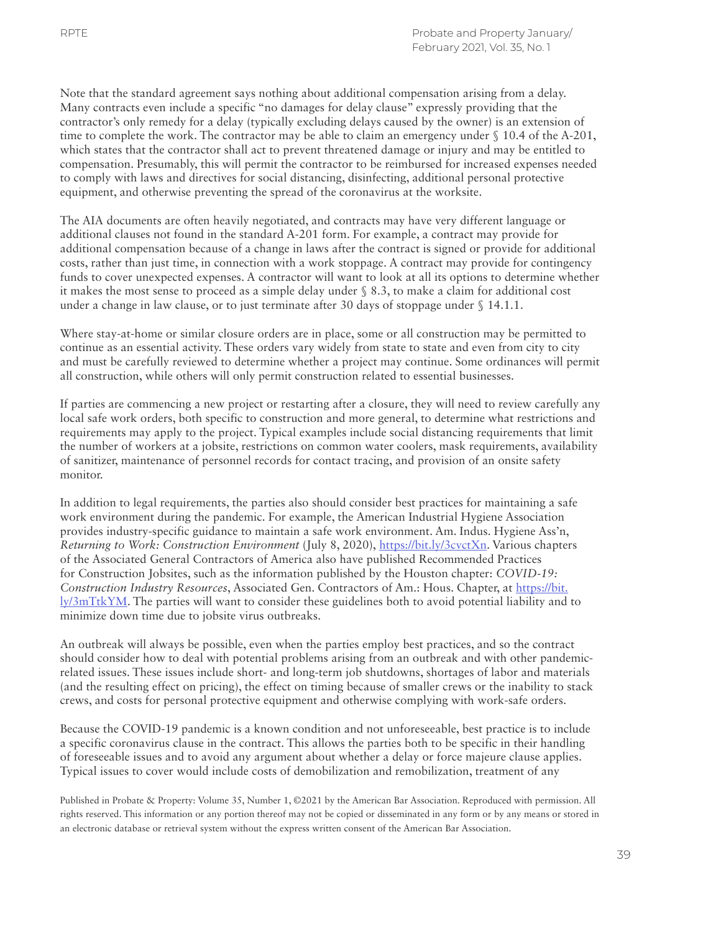Note that the standard agreement says nothing about additional compensation arising from a delay. Many contracts even include a specific "no damages for delay clause" expressly providing that the contractor's only remedy for a delay (typically excluding delays caused by the owner) is an extension of time to complete the work. The contractor may be able to claim an emergency under § 10.4 of the A-201, which states that the contractor shall act to prevent threatened damage or injury and may be entitled to compensation. Presumably, this will permit the contractor to be reimbursed for increased expenses needed to comply with laws and directives for social distancing, disinfecting, additional personal protective equipment, and otherwise preventing the spread of the coronavirus at the worksite.

The AIA documents are often heavily negotiated, and contracts may have very different language or additional clauses not found in the standard A-201 form. For example, a contract may provide for additional compensation because of a change in laws after the contract is signed or provide for additional costs, rather than just time, in connection with a work stoppage. A contract may provide for contingency funds to cover unexpected expenses. A contractor will want to look at all its options to determine whether it makes the most sense to proceed as a simple delay under § 8.3, to make a claim for additional cost under a change in law clause, or to just terminate after 30 days of stoppage under § 14.1.1.

Where stay-at-home or similar closure orders are in place, some or all construction may be permitted to continue as an essential activity. These orders vary widely from state to state and even from city to city and must be carefully reviewed to determine whether a project may continue. Some ordinances will permit all construction, while others will only permit construction related to essential businesses.

If parties are commencing a new project or restarting after a closure, they will need to review carefully any local safe work orders, both specific to construction and more general, to determine what restrictions and requirements may apply to the project. Typical examples include social distancing requirements that limit the number of workers at a jobsite, restrictions on common water coolers, mask requirements, availability of sanitizer, maintenance of personnel records for contact tracing, and provision of an onsite safety monitor.

In addition to legal requirements, the parties also should consider best practices for maintaining a safe work environment during the pandemic. For example, the American Industrial Hygiene Association provides industry-specific guidance to maintain a safe work environment. Am. Indus. Hygiene Ass'n, *Returning to Work: Construction Environment* (July 8, 2020), <https://bit.ly/3cvctXn>. Various chapters of the Associated General Contractors of America also have published Recommended Practices for Construction Jobsites, such as the information published by the Houston chapter: *COVID-19: Construction Industry Resources*, Associated Gen. Contractors of Am.: Hous. Chapter, at [https://bit.](https://bit.ly/3mTtkYM)  $\frac{1}{2}$  [ly/3mTtkYM](https://bit.ly/3mTtkYM). The parties will want to consider these guidelines both to avoid potential liability and to minimize down time due to jobsite virus outbreaks.

An outbreak will always be possible, even when the parties employ best practices, and so the contract should consider how to deal with potential problems arising from an outbreak and with other pandemicrelated issues. These issues include short- and long-term job shutdowns, shortages of labor and materials (and the resulting effect on pricing), the effect on timing because of smaller crews or the inability to stack crews, and costs for personal protective equipment and otherwise complying with work-safe orders.

Because the COVID-19 pandemic is a known condition and not unforeseeable, best practice is to include a specific coronavirus clause in the contract. This allows the parties both to be specific in their handling of foreseeable issues and to avoid any argument about whether a delay or force majeure clause applies. Typical issues to cover would include costs of demobilization and remobilization, treatment of any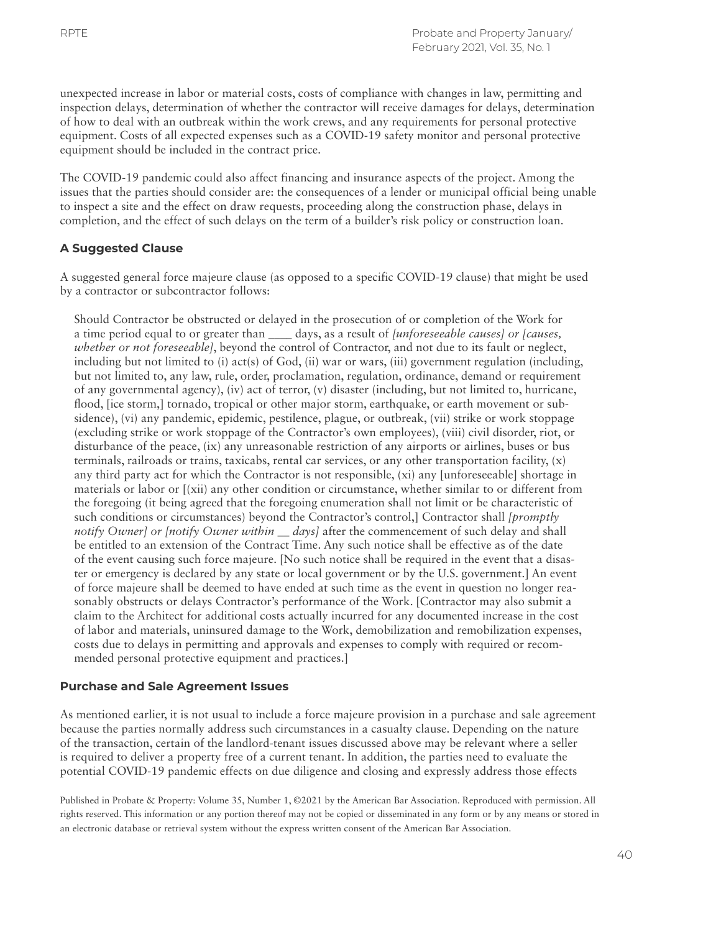unexpected increase in labor or material costs, costs of compliance with changes in law, permitting and inspection delays, determination of whether the contractor will receive damages for delays, determination of how to deal with an outbreak within the work crews, and any requirements for personal protective equipment. Costs of all expected expenses such as a COVID-19 safety monitor and personal protective equipment should be included in the contract price.

The COVID-19 pandemic could also affect financing and insurance aspects of the project. Among the issues that the parties should consider are: the consequences of a lender or municipal official being unable to inspect a site and the effect on draw requests, proceeding along the construction phase, delays in completion, and the effect of such delays on the term of a builder's risk policy or construction loan.

# **A Suggested Clause**

A suggested general force majeure clause (as opposed to a specific COVID-19 clause) that might be used by a contractor or subcontractor follows:

Should Contractor be obstructed or delayed in the prosecution of or completion of the Work for a time period equal to or greater than \_\_\_\_ days, as a result of *[unforeseeable causes] or [causes, whether or not foreseeable]*, beyond the control of Contractor, and not due to its fault or neglect, including but not limited to (i) act(s) of God, (ii) war or wars, (iii) government regulation (including, but not limited to, any law, rule, order, proclamation, regulation, ordinance, demand or requirement of any governmental agency), (iv) act of terror, (v) disaster (including, but not limited to, hurricane, flood, [ice storm,] tornado, tropical or other major storm, earthquake, or earth movement or subsidence), (vi) any pandemic, epidemic, pestilence, plague, or outbreak, (vii) strike or work stoppage (excluding strike or work stoppage of the Contractor's own employees), (viii) civil disorder, riot, or disturbance of the peace, (ix) any unreasonable restriction of any airports or airlines, buses or bus terminals, railroads or trains, taxicabs, rental car services, or any other transportation facility, (x) any third party act for which the Contractor is not responsible, (xi) any [unforeseeable] shortage in materials or labor or [(xii) any other condition or circumstance, whether similar to or different from the foregoing (it being agreed that the foregoing enumeration shall not limit or be characteristic of such conditions or circumstances) beyond the Contractor's control,] Contractor shall *[promptly notify Owner] or [notify Owner within \_\_ days]* after the commencement of such delay and shall be entitled to an extension of the Contract Time. Any such notice shall be effective as of the date of the event causing such force majeure. [No such notice shall be required in the event that a disaster or emergency is declared by any state or local government or by the U.S. government.] An event of force majeure shall be deemed to have ended at such time as the event in question no longer reasonably obstructs or delays Contractor's performance of the Work. [Contractor may also submit a claim to the Architect for additional costs actually incurred for any documented increase in the cost of labor and materials, uninsured damage to the Work, demobilization and remobilization expenses, costs due to delays in permitting and approvals and expenses to comply with required or recommended personal protective equipment and practices.]

## **Purchase and Sale Agreement Issues**

As mentioned earlier, it is not usual to include a force majeure provision in a purchase and sale agreement because the parties normally address such circumstances in a casualty clause. Depending on the nature of the transaction, certain of the landlord-tenant issues discussed above may be relevant where a seller is required to deliver a property free of a current tenant. In addition, the parties need to evaluate the potential COVID-19 pandemic effects on due diligence and closing and expressly address those effects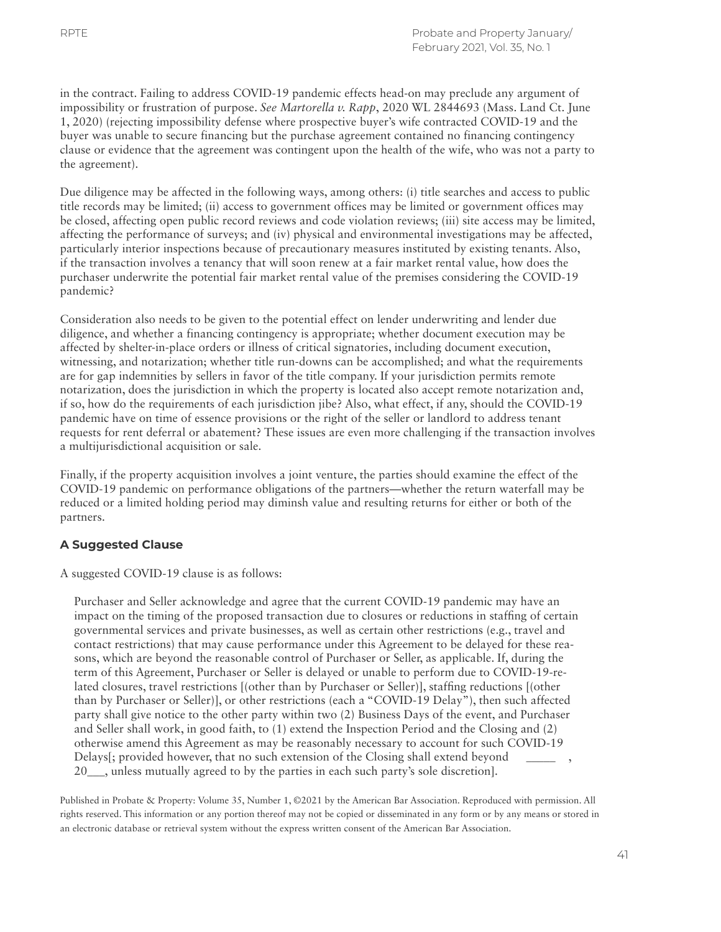in the contract. Failing to address COVID-19 pandemic effects head-on may preclude any argument of impossibility or frustration of purpose. *See Martorella v. Rapp*, 2020 WL 2844693 (Mass. Land Ct. June 1, 2020) (rejecting impossibility defense where prospective buyer's wife contracted COVID-19 and the buyer was unable to secure financing but the purchase agreement contained no financing contingency clause or evidence that the agreement was contingent upon the health of the wife, who was not a party to the agreement).

Due diligence may be affected in the following ways, among others: (i) title searches and access to public title records may be limited; (ii) access to government offices may be limited or government offices may be closed, affecting open public record reviews and code violation reviews; (iii) site access may be limited, affecting the performance of surveys; and (iv) physical and environmental investigations may be affected, particularly interior inspections because of precautionary measures instituted by existing tenants. Also, if the transaction involves a tenancy that will soon renew at a fair market rental value, how does the purchaser underwrite the potential fair market rental value of the premises considering the COVID-19 pandemic?

Consideration also needs to be given to the potential effect on lender underwriting and lender due diligence, and whether a financing contingency is appropriate; whether document execution may be affected by shelter-in-place orders or illness of critical signatories, including document execution, witnessing, and notarization; whether title run-downs can be accomplished; and what the requirements are for gap indemnities by sellers in favor of the title company. If your jurisdiction permits remote notarization, does the jurisdiction in which the property is located also accept remote notarization and, if so, how do the requirements of each jurisdiction jibe? Also, what effect, if any, should the COVID-19 pandemic have on time of essence provisions or the right of the seller or landlord to address tenant requests for rent deferral or abatement? These issues are even more challenging if the transaction involves a multijurisdictional acquisition or sale.

Finally, if the property acquisition involves a joint venture, the parties should examine the effect of the COVID-19 pandemic on performance obligations of the partners—whether the return waterfall may be reduced or a limited holding period may diminsh value and resulting returns for either or both of the partners.

## **A Suggested Clause**

A suggested COVID-19 clause is as follows:

Purchaser and Seller acknowledge and agree that the current COVID-19 pandemic may have an impact on the timing of the proposed transaction due to closures or reductions in staffing of certain governmental services and private businesses, as well as certain other restrictions (e.g., travel and contact restrictions) that may cause performance under this Agreement to be delayed for these reasons, which are beyond the reasonable control of Purchaser or Seller, as applicable. If, during the term of this Agreement, Purchaser or Seller is delayed or unable to perform due to COVID-19-related closures, travel restrictions [(other than by Purchaser or Seller)], staffing reductions [(other than by Purchaser or Seller)], or other restrictions (each a "COVID-19 Delay"), then such affected party shall give notice to the other party within two (2) Business Days of the event, and Purchaser and Seller shall work, in good faith, to (1) extend the Inspection Period and the Closing and (2) otherwise amend this Agreement as may be reasonably necessary to account for such COVID-19 Delays[; provided however, that no such extension of the Closing shall extend beyond 20\_\_\_, unless mutually agreed to by the parties in each such party's sole discretion].